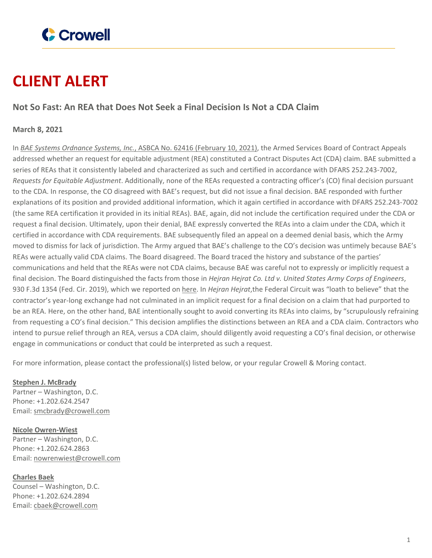

## **CLIENT ALERT**

## **Not So Fast: An REA that Does Not Seek a Final Decision Is Not a CDA Claim**

## **March 8, 2021**

In *BAE Systems [Ordnance](https://www.asbca.mil/Decisions/2021/62416%20BAE%20Systems%20Ordnance%20Systems,%20Inc.%202.10.21%20Decision.pdf) Systems, Inc.*, ASBCA No. 62416 (February 10, 2021), the Armed Services Board of Contract Appeals addressed whether an request for equitable adjustment (REA) constituted a Contract Disputes Act (CDA) claim. BAE submitted a series of REAs that it consistently labeled and characterized as such and certified in accordance with DFARS 252.243-7002, *Requests for Equitable Adjustment*. Additionally, none of the REAs requested a contracting officer's (CO) final decision pursuant to the CDA. In response, the CO disagreed with BAE's request, but did not issue a final decision. BAE responded with further explanations of its position and provided additional information, which it again certified in accordance with DFARS 252.243-7002 (the same REA certification it provided in its initial REAs). BAE, again, did not include the certification required under the CDA or request a final decision. Ultimately, upon their denial, BAE expressly converted the REAs into a claim under the CDA, which it certified in accordance with CDA requirements. BAE subsequently filed an appeal on a deemed denial basis, which the Army moved to dismiss for lack of jurisdiction. The Army argued that BAE's challenge to the CO's decision was untimely because BAE's REAs were actually valid CDA claims. The Board disagreed. The Board traced the history and substance of the parties' communications and held that the REAs were not CDA claims, because BAE was careful not to expressly or implicitly request a final decision. The Board distinguished the facts from those in *Hejran Hejrat Co. Ltd v. United States Army Corps of Engineers*, 930 F.3d 1354 (Fed. Cir. 2019), which we reported on [here.](https://www.crowell.com/NewsEvents/AlertsNewsletters/Government-Contracts-Bullet-Points/REA-or-Claim-Substance-Over-Form) In *Hejran Hejrat*,the Federal Circuit was "loath to believe" that the contractor's year-long exchange had not culminated in an implicit request for a final decision on a claim that had purported to be an REA. Here, on the other hand, BAE intentionally sought to avoid converting its REAs into claims, by "scrupulously refraining from requesting a CO's final decision." This decision amplifies the distinctions between an REA and a CDA claim. Contractors who intend to pursue relief through an REA, versus a CDA claim, should diligently avoid requesting a CO's final decision, or otherwise engage in communications or conduct that could be interpreted as such a request.

For more information, please contact the professional(s) listed below, or your regular Crowell & Moring contact.

**Stephen J. [McBrady](https://www.crowell.com/professionals/Stephen-McBrady)** Partner – Washington, D.C. Phone: +1.202.624.2547 Email: [smcbrady@crowell.com](mailto:smcbrady@crowell.com)

**Nicole [Owren-Wiest](https://www.crowell.com/professionals/Nicole-Owren-Wiest)** Partner – Washington, D.C. Phone: +1.202.624.2863 Email: [nowrenwiest@crowell.com](mailto:nowrenwiest@crowell.com)

**[Charles](https://www.crowell.com/professionals/Charles-Baek) Baek** Counsel – Washington, D.C. Phone: +1.202.624.2894 Email: [cbaek@crowell.com](mailto:cbaek@crowell.com)